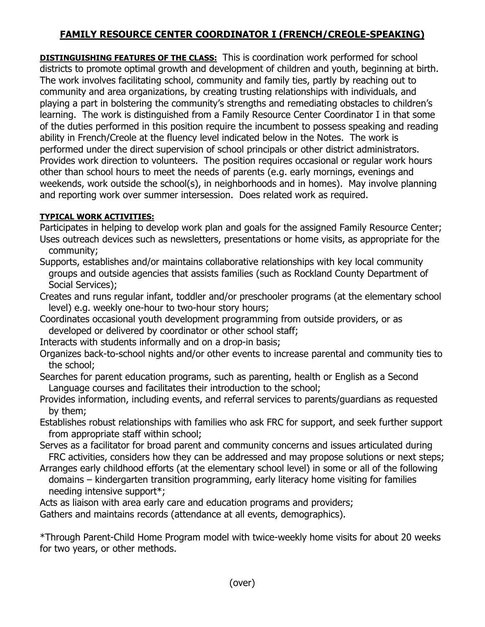## **FAMILY RESOURCE CENTER COORDINATOR I (FRENCH/CREOLE-SPEAKING)**

**DISTINGUISHING FEATURES OF THE CLASS:** This is coordination work performed for school districts to promote optimal growth and development of children and youth, beginning at birth. The work involves facilitating school, community and family ties, partly by reaching out to community and area organizations, by creating trusting relationships with individuals, and playing a part in bolstering the community's strengths and remediating obstacles to children's learning. The work is distinguished from a Family Resource Center Coordinator I in that some of the duties performed in this position require the incumbent to possess speaking and reading ability in French/Creole at the fluency level indicated below in the Notes. The work is performed under the direct supervision of school principals or other district administrators. Provides work direction to volunteers. The position requires occasional or regular work hours other than school hours to meet the needs of parents (e.g. early mornings, evenings and weekends, work outside the school(s), in neighborhoods and in homes). May involve planning and reporting work over summer intersession. Does related work as required.

## **TYPICAL WORK ACTIVITIES:**

Participates in helping to develop work plan and goals for the assigned Family Resource Center; Uses outreach devices such as newsletters, presentations or home visits, as appropriate for the community;

Supports, establishes and/or maintains collaborative relationships with key local community groups and outside agencies that assists families (such as Rockland County Department of Social Services);

Creates and runs regular infant, toddler and/or preschooler programs (at the elementary school level) e.g. weekly one-hour to two-hour story hours;

Coordinates occasional youth development programming from outside providers, or as developed or delivered by coordinator or other school staff;

Interacts with students informally and on a drop-in basis;

Organizes back-to-school nights and/or other events to increase parental and community ties to the school;

Searches for parent education programs, such as parenting, health or English as a Second Language courses and facilitates their introduction to the school;

Provides information, including events, and referral services to parents/guardians as requested by them;

Establishes robust relationships with families who ask FRC for support, and seek further support from appropriate staff within school;

Serves as a facilitator for broad parent and community concerns and issues articulated during FRC activities, considers how they can be addressed and may propose solutions or next steps;

Arranges early childhood efforts (at the elementary school level) in some or all of the following domains – kindergarten transition programming, early literacy home visiting for families needing intensive support\*;

Acts as liaison with area early care and education programs and providers;

Gathers and maintains records (attendance at all events, demographics).

\*Through Parent-Child Home Program model with twice-weekly home visits for about 20 weeks for two years, or other methods.